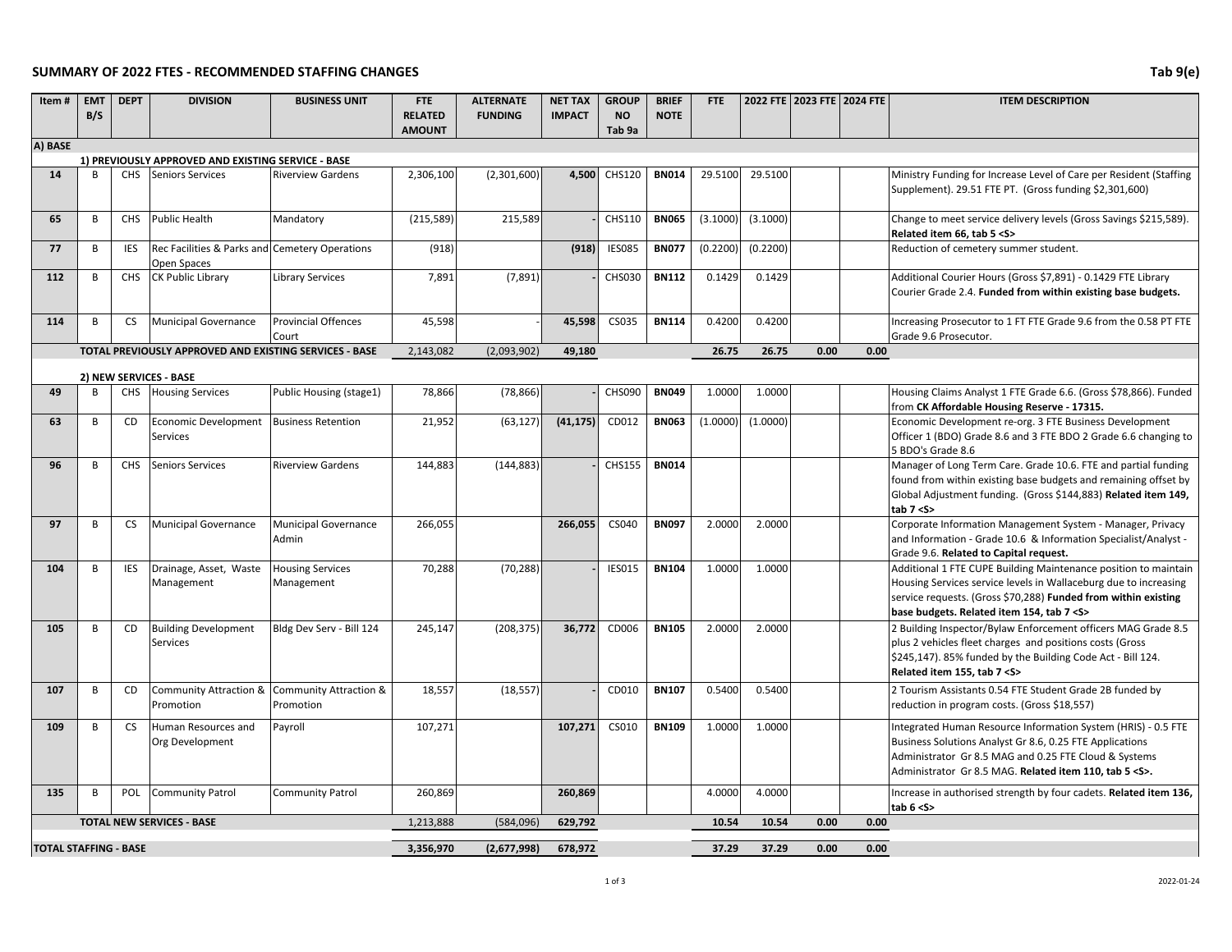## **SUMMARY OF 2022 FTES - RECOMMENDED STAFFING CHANGES Tab 9(e)**

| Item#                        | <b>EMT</b><br>B/S | <b>DEPT</b> | <b>DIVISION</b>                                                               | <b>BUSINESS UNIT</b>                  | <b>FTE</b><br><b>RELATED</b><br><b>AMOUNT</b> | <b>ALTERNATE</b><br><b>FUNDING</b> | <b>NET TAX</b><br><b>IMPACT</b> | <b>GROUP</b><br><b>NO</b><br>Tab 9a | <b>BRIEF</b><br><b>NOTE</b> | <b>FTE</b> |          | 2022 FTE 2023 FTE 2024 FTE |      | <b>ITEM DESCRIPTION</b>                                                                                                                                                                                                                             |
|------------------------------|-------------------|-------------|-------------------------------------------------------------------------------|---------------------------------------|-----------------------------------------------|------------------------------------|---------------------------------|-------------------------------------|-----------------------------|------------|----------|----------------------------|------|-----------------------------------------------------------------------------------------------------------------------------------------------------------------------------------------------------------------------------------------------------|
| A) BASE                      |                   |             |                                                                               |                                       |                                               |                                    |                                 |                                     |                             |            |          |                            |      |                                                                                                                                                                                                                                                     |
| 14                           | R                 | <b>CHS</b>  | 1) PREVIOUSLY APPROVED AND EXISTING SERVICE - BASE<br><b>Seniors Services</b> | <b>Riverview Gardens</b>              | 2,306,100                                     | (2,301,600)                        | 4,500                           | CHS120                              | <b>BN014</b>                | 29.5100    | 29.5100  |                            |      | Ministry Funding for Increase Level of Care per Resident (Staffing                                                                                                                                                                                  |
|                              |                   |             |                                                                               |                                       |                                               |                                    |                                 |                                     |                             |            |          |                            |      | Supplement). 29.51 FTE PT. (Gross funding \$2,301,600)                                                                                                                                                                                              |
| 65                           | В                 | CHS         | <b>Public Health</b>                                                          | Mandatory                             | (215, 589)                                    | 215,589                            |                                 | CHS110                              | <b>BN065</b>                | (3.1000)   | (3.1000) |                            |      | Change to meet service delivery levels (Gross Savings \$215,589).<br>Related item 66, tab 5 < S>                                                                                                                                                    |
| 77                           | B                 | <b>IES</b>  | Rec Facilities & Parks and Cemetery Operations<br>Open Spaces                 |                                       | (918)                                         |                                    | (918)                           | <b>IES085</b>                       | <b>BN077</b>                | (0.2200)   | (0.2200) |                            |      | Reduction of cemetery summer student.                                                                                                                                                                                                               |
| 112                          | B                 | <b>CHS</b>  | <b>CK Public Library</b>                                                      | <b>Library Services</b>               | 7,891                                         | (7, 891)                           |                                 | CHS030                              | <b>BN112</b>                | 0.1429     | 0.1429   |                            |      | Additional Courier Hours (Gross \$7,891) - 0.1429 FTE Library<br>Courier Grade 2.4. Funded from within existing base budgets.                                                                                                                       |
| 114                          | B                 | <b>CS</b>   | <b>Municipal Governance</b>                                                   | <b>Provincial Offences</b><br>Court   | 45,598                                        |                                    | 45,598                          | CS035                               | <b>BN114</b>                | 0.4200     | 0.4200   |                            |      | Increasing Prosecutor to 1 FT FTE Grade 9.6 from the 0.58 PT FTE<br>Grade 9.6 Prosecutor.                                                                                                                                                           |
|                              |                   |             | TOTAL PREVIOUSLY APPROVED AND EXISTING SERVICES - BASE                        |                                       | 2,143,082                                     | (2,093,902)                        | 49,180                          |                                     |                             | 26.75      | 26.75    | 0.00                       | 0.00 |                                                                                                                                                                                                                                                     |
|                              |                   |             | 2) NEW SERVICES - BASE                                                        |                                       |                                               |                                    |                                 |                                     |                             |            |          |                            |      |                                                                                                                                                                                                                                                     |
| 49                           | B                 | <b>CHS</b>  | <b>Housing Services</b>                                                       | Public Housing (stage1)               | 78,866                                        | (78, 866)                          |                                 | <b>CHS090</b>                       | <b>BN049</b>                | 1.0000     | 1.0000   |                            |      | Housing Claims Analyst 1 FTE Grade 6.6. (Gross \$78,866). Funded<br>from CK Affordable Housing Reserve - 17315.                                                                                                                                     |
| 63                           | В                 | CD          | <b>Economic Development</b><br>Services                                       | <b>Business Retention</b>             | 21,952                                        | (63, 127)                          | (41, 175)                       | CD012                               | <b>BN063</b>                | (1.0000)   | (1.0000) |                            |      | Economic Development re-org. 3 FTE Business Development<br>Officer 1 (BDO) Grade 8.6 and 3 FTE BDO 2 Grade 6.6 changing to<br>5 BDO's Grade 8.6                                                                                                     |
| 96                           | В                 | <b>CHS</b>  | <b>Seniors Services</b>                                                       | <b>Riverview Gardens</b>              | 144,883                                       | (144, 883)                         |                                 | <b>CHS155</b>                       | <b>BN014</b>                |            |          |                            |      | Manager of Long Term Care. Grade 10.6. FTE and partial funding<br>found from within existing base budgets and remaining offset by<br>Global Adjustment funding. (Gross \$144,883) Related item 149,<br>tab $7 < S$                                  |
| 97                           | В                 | <b>CS</b>   | <b>Municipal Governance</b>                                                   | <b>Municipal Governance</b><br>Admin  | 266,055                                       |                                    | 266,055                         | CS040                               | <b>BN097</b>                | 2.0000     | 2.0000   |                            |      | Corporate Information Management System - Manager, Privacy<br>and Information - Grade 10.6 & Information Specialist/Analyst -<br>Grade 9.6. Related to Capital request.                                                                             |
| 104                          | B                 | <b>IES</b>  | Drainage, Asset, Waste<br>Management                                          | <b>Housing Services</b><br>Management | 70,288                                        | (70, 288)                          |                                 | <b>IES015</b>                       | <b>BN104</b>                | 1.0000     | 1.0000   |                            |      | Additional 1 FTE CUPE Building Maintenance position to maintain<br>Housing Services service levels in Wallaceburg due to increasing<br>service requests. (Gross \$70,288) Funded from within existing<br>base budgets. Related item 154, tab 7 < S> |
| 105                          | B                 | <b>CD</b>   | <b>Building Development</b><br>Services                                       | Bldg Dev Serv - Bill 124              | 245,147                                       | (208, 375)                         | 36.772                          | CD006                               | <b>BN105</b>                | 2.0000     | 2.0000   |                            |      | 2 Building Inspector/Bylaw Enforcement officers MAG Grade 8.5<br>plus 2 vehicles fleet charges and positions costs (Gross<br>\$245,147). 85% funded by the Building Code Act - Bill 124.<br>Related item 155, tab 7 < S>                            |
| 107                          | В                 | CD          | Community Attraction &<br>Promotion                                           | Community Attraction &<br>Promotion   | 18,557                                        | (18, 557)                          |                                 | CD010                               | <b>BN107</b>                | 0.5400     | 0.5400   |                            |      | 2 Tourism Assistants 0.54 FTE Student Grade 2B funded by<br>reduction in program costs. (Gross \$18,557)                                                                                                                                            |
| 109                          | B                 | <b>CS</b>   | Human Resources and<br>Org Development                                        | Payroll                               | 107.271                                       |                                    | 107,271                         | CS010                               | <b>BN109</b>                | 1.0000     | 1.0000   |                            |      | Integrated Human Resource Information System (HRIS) - 0.5 FTE<br>Business Solutions Analyst Gr 8.6, 0.25 FTE Applications<br>Administrator Gr 8.5 MAG and 0.25 FTE Cloud & Systems<br>Administrator Gr 8.5 MAG. Related item 110, tab 5 < S>.       |
| 135                          | B                 | POL         | <b>Community Patrol</b>                                                       | <b>Community Patrol</b>               | 260.869                                       |                                    | 260,869                         |                                     |                             | 4.0000     | 4.0000   |                            |      | Increase in authorised strength by four cadets. Related item 136,<br>tab $6 < S$                                                                                                                                                                    |
|                              |                   |             | <b>TOTAL NEW SERVICES - BASE</b>                                              |                                       | 1,213,888                                     | (584,096)                          | 629,792                         |                                     |                             | 10.54      | 10.54    | 0.00                       | 0.00 |                                                                                                                                                                                                                                                     |
| <b>TOTAL STAFFING - BASE</b> |                   |             |                                                                               |                                       | 3,356,970                                     | (2,677,998)                        | 678,972                         |                                     |                             | 37.29      | 37.29    | 0.00                       | 0.00 |                                                                                                                                                                                                                                                     |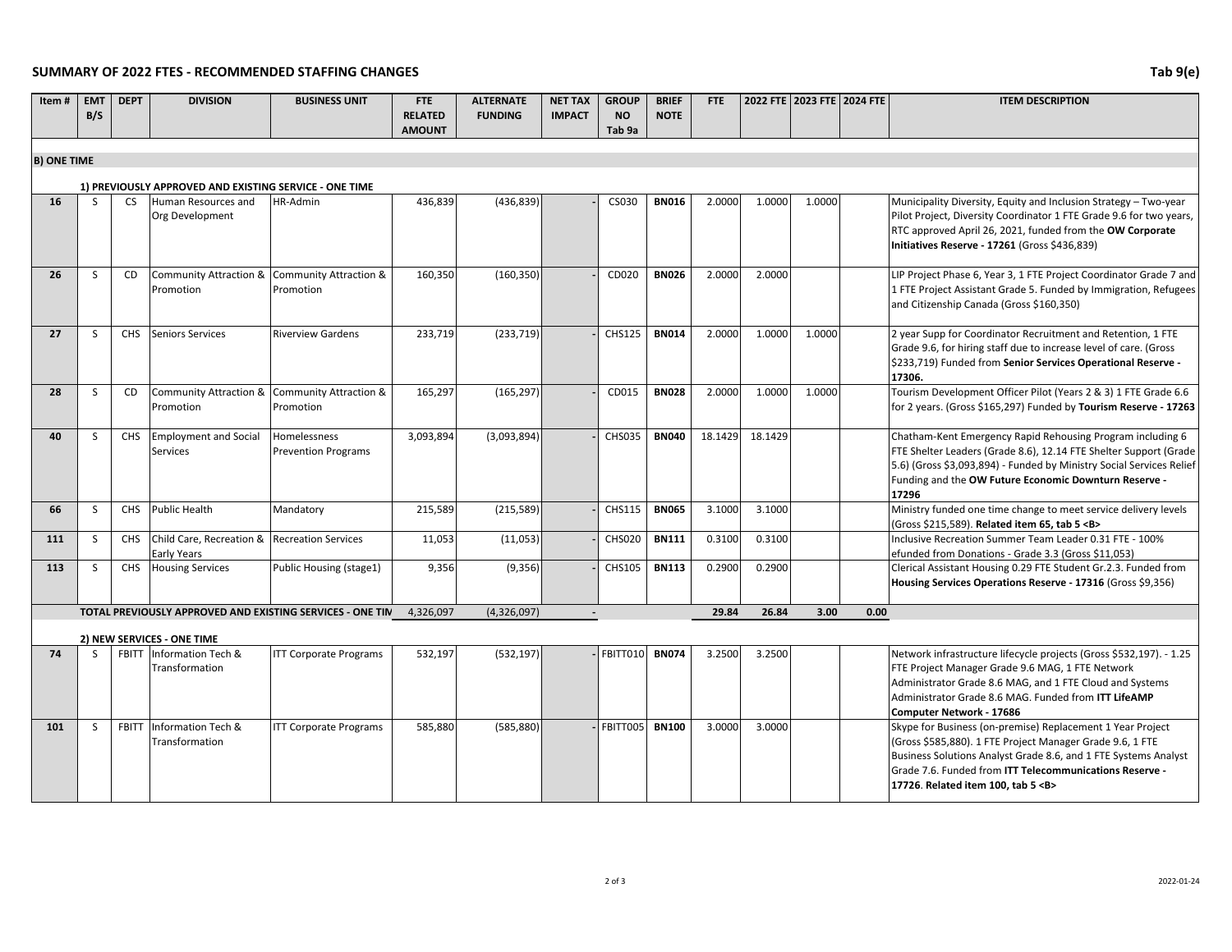## **SUMMARY OF 2022 FTES - RECOMMENDED STAFFING CHANGES Tab 9(e)**

**I EMT EMT** 

| Item#                                                  | <b>EMT</b><br>B/S | <b>DEPT</b>     | <b>DIVISION</b>                                             | <b>BUSINESS UNIT</b>                                      | <b>FTE</b><br><b>RELATED</b><br><b>AMOUNT</b> | <b>ALTERNATE</b><br><b>FUNDING</b> | <b>NET TAX</b><br><b>IMPACT</b> | <b>GROUP</b><br><b>NO</b><br>Tab 9a | <b>BRIEF</b><br><b>NOTE</b> | FTE     |         | 2022 FTE 2023 FTE 2024 FTE |      | <b>ITEM DESCRIPTION</b>                                                                                                                                                                                                                                                                         |
|--------------------------------------------------------|-------------------|-----------------|-------------------------------------------------------------|-----------------------------------------------------------|-----------------------------------------------|------------------------------------|---------------------------------|-------------------------------------|-----------------------------|---------|---------|----------------------------|------|-------------------------------------------------------------------------------------------------------------------------------------------------------------------------------------------------------------------------------------------------------------------------------------------------|
|                                                        |                   |                 |                                                             |                                                           |                                               |                                    |                                 |                                     |                             |         |         |                            |      |                                                                                                                                                                                                                                                                                                 |
| <b>B) ONE TIME</b>                                     |                   |                 |                                                             |                                                           |                                               |                                    |                                 |                                     |                             |         |         |                            |      |                                                                                                                                                                                                                                                                                                 |
| 1) PREVIOUSLY APPROVED AND EXISTING SERVICE - ONE TIME |                   |                 |                                                             |                                                           |                                               |                                    |                                 |                                     |                             |         |         |                            |      |                                                                                                                                                                                                                                                                                                 |
| 16                                                     | <sub>S</sub>      | <b>CS</b>       | Human Resources and<br>Org Development                      | <b>HR-Admin</b>                                           | 436,839                                       | (436, 839)                         |                                 | CS030                               | <b>BN016</b>                | 2.0000  | 1.0000  | 1.0000                     |      | Municipality Diversity, Equity and Inclusion Strategy - Two-year<br>Pilot Project, Diversity Coordinator 1 FTE Grade 9.6 for two years,<br>RTC approved April 26, 2021, funded from the OW Corporate<br>Initiatives Reserve - 17261 (Gross \$436,839)                                           |
| 26                                                     | S                 | CD              | Community Attraction & Community Attraction &<br>Promotion  | Promotion                                                 | 160,350                                       | (160, 350)                         |                                 | CD020                               | <b>BN026</b>                | 2.0000  | 2.0000  |                            |      | LIP Project Phase 6, Year 3, 1 FTE Project Coordinator Grade 7 and<br>1 FTE Project Assistant Grade 5. Funded by Immigration, Refugees<br>and Citizenship Canada (Gross \$160,350)                                                                                                              |
| 27                                                     | S                 | <b>CHS</b>      | <b>Seniors Services</b>                                     | <b>Riverview Gardens</b>                                  | 233,719                                       | (233, 719)                         |                                 | <b>CHS125</b>                       | <b>BN014</b>                | 2.0000  | 1.0000  | 1.0000                     |      | 2 year Supp for Coordinator Recruitment and Retention, 1 FTE<br>Grade 9.6, for hiring staff due to increase level of care. (Gross<br>\$233,719) Funded from Senior Services Operational Reserve -<br>17306.                                                                                     |
| 28                                                     | S                 | CD              | Community Attraction &<br>Promotion                         | Community Attraction &<br>Promotion                       | 165,297                                       | (165, 297)                         |                                 | CD015                               | <b>BN028</b>                | 2.0000  | 1.0000  | 1.0000                     |      | Tourism Development Officer Pilot (Years 2 & 3) 1 FTE Grade 6.6<br>for 2 years. (Gross \$165,297) Funded by Tourism Reserve - 17263                                                                                                                                                             |
| 40                                                     | S                 | <b>CHS</b>      | <b>Employment and Social</b><br><b>Services</b>             | <b>Homelessness</b><br><b>Prevention Programs</b>         | 3,093,894                                     | (3,093,894)                        |                                 | <b>CHS035</b>                       | <b>BN040</b>                | 18.1429 | 18.1429 |                            |      | Chatham-Kent Emergency Rapid Rehousing Program including 6<br>FTE Shelter Leaders (Grade 8.6), 12.14 FTE Shelter Support (Grade<br>5.6) (Gross \$3,093,894) - Funded by Ministry Social Services Relief<br>Funding and the OW Future Economic Downturn Reserve -<br>17296                       |
| 66                                                     | S                 | <b>CHS</b>      | <b>Public Health</b>                                        | Mandatory                                                 | 215,589                                       | (215, 589)                         |                                 | CHS115                              | <b>BN065</b>                | 3.1000  | 3.1000  |                            |      | Ministry funded one time change to meet service delivery levels<br>(Gross \$215,589). Related item 65, tab 5 <b></b>                                                                                                                                                                            |
| 111                                                    | <sub>S</sub>      | <b>CHS</b>      | Child Care, Recreation & Recreation Services<br>Early Years |                                                           | 11,053                                        | (11,053)                           |                                 | <b>CHS020</b>                       | <b>BN111</b>                | 0.3100  | 0.3100  |                            |      | Inclusive Recreation Summer Team Leader 0.31 FTE - 100%<br>efunded from Donations - Grade 3.3 (Gross \$11,053)                                                                                                                                                                                  |
| 113                                                    | S                 | CH <sub>S</sub> | <b>Housing Services</b>                                     | Public Housing (stage1)                                   | 9,356                                         | (9,356)                            |                                 | CHS105                              | <b>BN113</b>                | 0.2900  | 0.2900  |                            |      | Clerical Assistant Housing 0.29 FTE Student Gr.2.3. Funded from<br>Housing Services Operations Reserve - 17316 (Gross \$9,356)                                                                                                                                                                  |
|                                                        |                   |                 |                                                             | TOTAL PREVIOUSLY APPROVED AND EXISTING SERVICES - ONE TIN | 4,326,097                                     | (4,326,097)                        |                                 |                                     |                             | 29.84   | 26.84   | 3.00                       | 0.00 |                                                                                                                                                                                                                                                                                                 |
|                                                        |                   |                 | 2) NEW SERVICES - ONE TIME                                  |                                                           |                                               |                                    |                                 |                                     |                             |         |         |                            |      |                                                                                                                                                                                                                                                                                                 |
| 74                                                     |                   |                 | FBITT Information Tech &<br>Transformation                  | <b>ITT Corporate Programs</b>                             | 532,197                                       | (532, 197)                         |                                 | FBITT010                            | <b>BN074</b>                | 3.2500  | 3.2500  |                            |      | Network infrastructure lifecycle projects (Gross \$532,197). - 1.25<br>FTE Project Manager Grade 9.6 MAG, 1 FTE Network<br>Administrator Grade 8.6 MAG, and 1 FTE Cloud and Systems<br>Administrator Grade 8.6 MAG. Funded from ITT LifeAMP<br>Computer Network - 17686                         |
| 101                                                    | S                 | <b>FBITT</b>    | Information Tech &<br>Transformation                        | <b>ITT Corporate Programs</b>                             | 585,880                                       | (585, 880)                         |                                 | FBITT005                            | <b>BN100</b>                | 3.0000  | 3.0000  |                            |      | Skype for Business (on-premise) Replacement 1 Year Project<br>(Gross \$585,880). 1 FTE Project Manager Grade 9.6, 1 FTE<br>Business Solutions Analyst Grade 8.6, and 1 FTE Systems Analyst<br>Grade 7.6. Funded from ITT Telecommunications Reserve -<br>17726. Related item 100, tab 5 <b></b> |